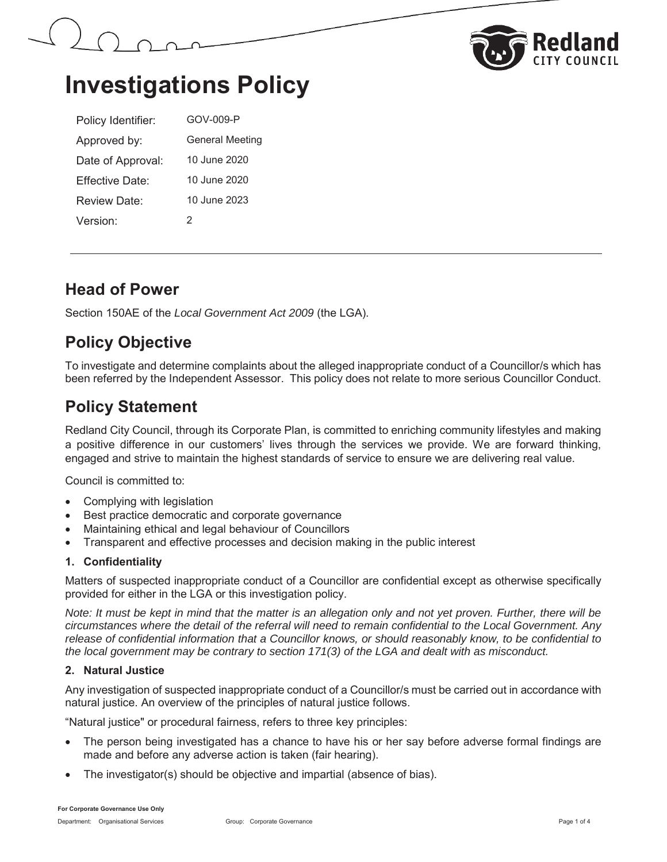



# **Investigations Policy**

| Policy Identifier:   | GOV-009-P              |
|----------------------|------------------------|
| Approved by:         | <b>General Meeting</b> |
| Date of Approval:    | 10 June 2020           |
| Fffective Date:      | 10 June 2020           |
| Review Date:         | 10 June 2023           |
| Version <sup>.</sup> | 2                      |

## **Head of Power**

Section 150AE of the *Local Government Act 2009* (the LGA).

# **Policy Objective**

To investigate and determine complaints about the alleged inappropriate conduct of a Councillor/s which has been referred by the Independent Assessor. This policy does not relate to more serious Councillor Conduct.

## **Policy Statement**

Redland City Council, through its Corporate Plan, is committed to enriching community lifestyles and making a positive difference in our customers' lives through the services we provide. We are forward thinking, engaged and strive to maintain the highest standards of service to ensure we are delivering real value.

Council is committed to:

- $\bullet$  Complying with legislation
- Best practice democratic and corporate governance
- x Maintaining ethical and legal behaviour of Councillors
- Transparent and effective processes and decision making in the public interest

## **1. Confidentiality**

Matters of suspected inappropriate conduct of a Councillor are confidential except as otherwise specifically provided for either in the LGA or this investigation policy.

*Note: It must be kept in mind that the matter is an allegation only and not yet proven. Further, there will be circumstances where the detail of the referral will need to remain confidential to the Local Government. Any release of confidential information that a Councillor knows, or should reasonably know, to be confidential to the local government may be contrary to section 171(3) of the LGA and dealt with as misconduct.* 

## **2. Natural Justice**

Any investigation of suspected inappropriate conduct of a Councillor/s must be carried out in accordance with natural justice. An overview of the principles of natural justice follows.

"Natural justice" or procedural fairness, refers to three key principles:

- The person being investigated has a chance to have his or her say before adverse formal findings are made and before any adverse action is taken (fair hearing).
- The investigator(s) should be objective and impartial (absence of bias).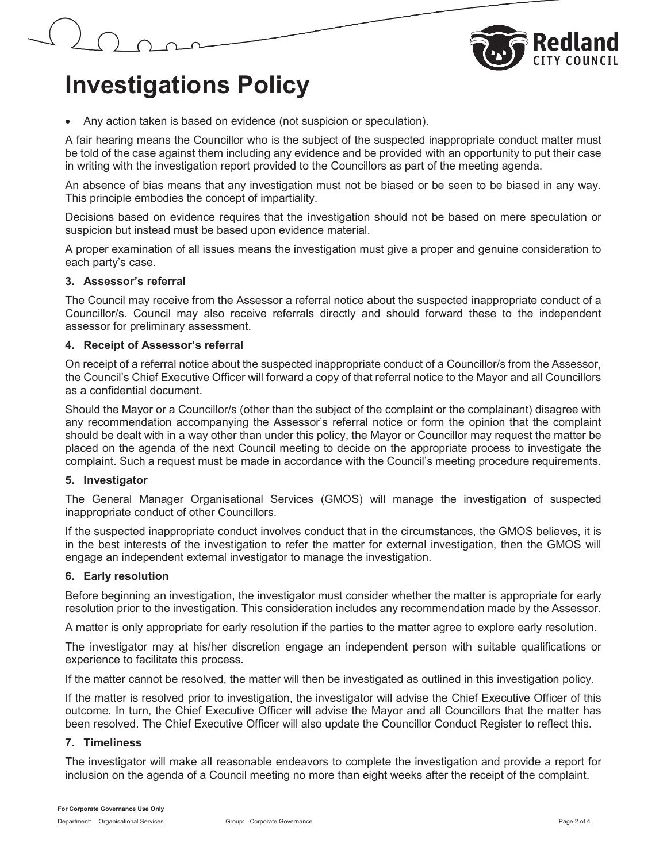



## • Any action taken is based on evidence (not suspicion or speculation).

A fair hearing means the Councillor who is the subject of the suspected inappropriate conduct matter must be told of the case against them including any evidence and be provided with an opportunity to put their case in writing with the investigation report provided to the Councillors as part of the meeting agenda.

An absence of bias means that any investigation must not be biased or be seen to be biased in any way. This principle embodies the concept of impartiality.

Decisions based on evidence requires that the investigation should not be based on mere speculation or suspicion but instead must be based upon evidence material.

A proper examination of all issues means the investigation must give a proper and genuine consideration to each party's case.

### **3. Assessor's referral**

The Council may receive from the Assessor a referral notice about the suspected inappropriate conduct of a Councillor/s. Council may also receive referrals directly and should forward these to the independent assessor for preliminary assessment.

### **4. Receipt of Assessor's referral**

On receipt of a referral notice about the suspected inappropriate conduct of a Councillor/s from the Assessor, the Council's Chief Executive Officer will forward a copy of that referral notice to the Mayor and all Councillors as a confidential document.

Should the Mayor or a Councillor/s (other than the subject of the complaint or the complainant) disagree with any recommendation accompanying the Assessor's referral notice or form the opinion that the complaint should be dealt with in a way other than under this policy, the Mayor or Councillor may request the matter be placed on the agenda of the next Council meeting to decide on the appropriate process to investigate the complaint. Such a request must be made in accordance with the Council's meeting procedure requirements.

### **5. Investigator**

The General Manager Organisational Services (GMOS) will manage the investigation of suspected inappropriate conduct of other Councillors.

If the suspected inappropriate conduct involves conduct that in the circumstances, the GMOS believes, it is in the best interests of the investigation to refer the matter for external investigation, then the GMOS will engage an independent external investigator to manage the investigation.

### **6. Early resolution**

Before beginning an investigation, the investigator must consider whether the matter is appropriate for early resolution prior to the investigation. This consideration includes any recommendation made by the Assessor.

A matter is only appropriate for early resolution if the parties to the matter agree to explore early resolution.

The investigator may at his/her discretion engage an independent person with suitable qualifications or experience to facilitate this process.

If the matter cannot be resolved, the matter will then be investigated as outlined in this investigation policy.

If the matter is resolved prior to investigation, the investigator will advise the Chief Executive Officer of this outcome. In turn, the Chief Executive Officer will advise the Mayor and all Councillors that the matter has been resolved. The Chief Executive Officer will also update the Councillor Conduct Register to reflect this.

## **7. Timeliness**

The investigator will make all reasonable endeavors to complete the investigation and provide a report for inclusion on the agenda of a Council meeting no more than eight weeks after the receipt of the complaint.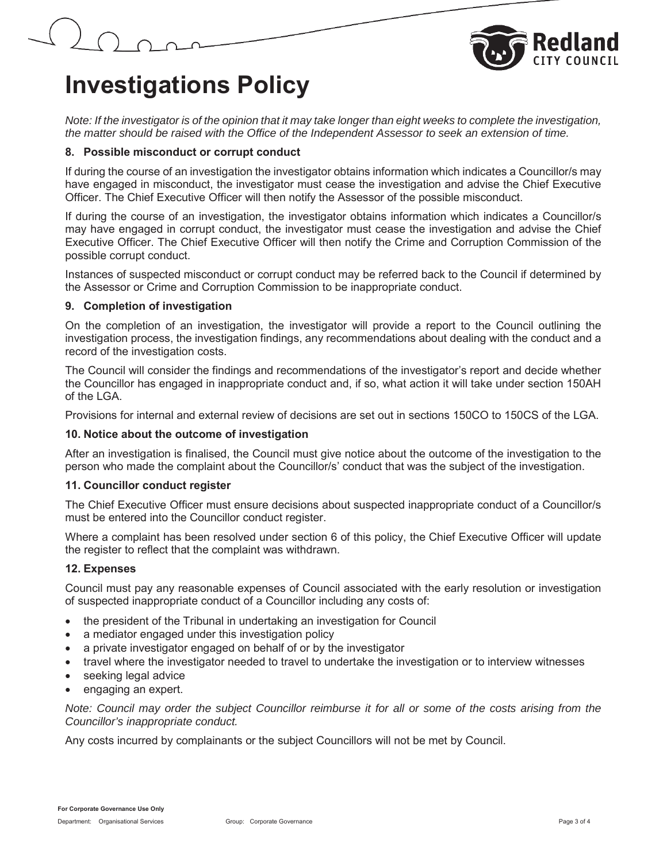



# **Investigations Policy**

*Note: If the investigator is of the opinion that it may take longer than eight weeks to complete the investigation, the matter should be raised with the Office of the Independent Assessor to seek an extension of time.* 

### **8. Possible misconduct or corrupt conduct**

If during the course of an investigation the investigator obtains information which indicates a Councillor/s may have engaged in misconduct, the investigator must cease the investigation and advise the Chief Executive Officer. The Chief Executive Officer will then notify the Assessor of the possible misconduct.

If during the course of an investigation, the investigator obtains information which indicates a Councillor/s may have engaged in corrupt conduct, the investigator must cease the investigation and advise the Chief Executive Officer. The Chief Executive Officer will then notify the Crime and Corruption Commission of the possible corrupt conduct.

Instances of suspected misconduct or corrupt conduct may be referred back to the Council if determined by the Assessor or Crime and Corruption Commission to be inappropriate conduct.

## **9. Completion of investigation**

On the completion of an investigation, the investigator will provide a report to the Council outlining the investigation process, the investigation findings, any recommendations about dealing with the conduct and a record of the investigation costs.

The Council will consider the findings and recommendations of the investigator's report and decide whether the Councillor has engaged in inappropriate conduct and, if so, what action it will take under section 150AH of the LGA.

Provisions for internal and external review of decisions are set out in sections 150CO to 150CS of the LGA.

### **10. Notice about the outcome of investigation**

After an investigation is finalised, the Council must give notice about the outcome of the investigation to the person who made the complaint about the Councillor/s' conduct that was the subject of the investigation.

### **11. Councillor conduct register**

The Chief Executive Officer must ensure decisions about suspected inappropriate conduct of a Councillor/s must be entered into the Councillor conduct register.

Where a complaint has been resolved under section 6 of this policy, the Chief Executive Officer will update the register to reflect that the complaint was withdrawn.

## **12. Expenses**

Council must pay any reasonable expenses of Council associated with the early resolution or investigation of suspected inappropriate conduct of a Councillor including any costs of:

- x the president of the Tribunal in undertaking an investigation for Council
- a mediator engaged under this investigation policy
- a private investigator engaged on behalf of or by the investigator
- travel where the investigator needed to travel to undertake the investigation or to interview witnesses
- seeking legal advice
- engaging an expert.

*Note: Council may order the subject Councillor reimburse it for all or some of the costs arising from the Councillor's inappropriate conduct.* 

Any costs incurred by complainants or the subject Councillors will not be met by Council.